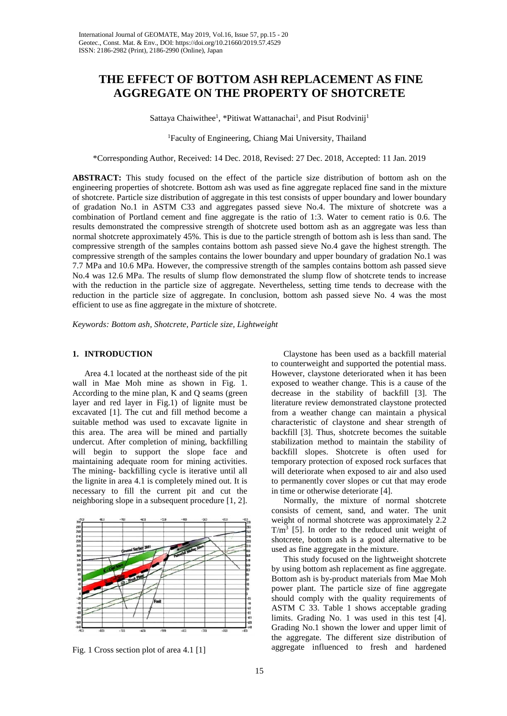# **THE EFFECT OF BOTTOM ASH REPLACEMENT AS FINE AGGREGATE ON THE PROPERTY OF SHOTCRETE**

Sattaya Chaiwithee<sup>1</sup>, \*Pitiwat Wattanachai<sup>1</sup>, and Pisut Rodvinij<sup>1</sup>

1 Faculty of Engineering, Chiang Mai University, Thailand

\*Corresponding Author, Received: 14 Dec. 2018, Revised: 27 Dec. 2018, Accepted: 11 Jan. 2019

**ABSTRACT:** This study focused on the effect of the particle size distribution of bottom ash on the engineering properties of shotcrete. Bottom ash was used as fine aggregate replaced fine sand in the mixture of shotcrete. Particle size distribution of aggregate in this test consists of upper boundary and lower boundary of gradation No.1 in ASTM C33 and aggregates passed sieve No.4. The mixture of shotcrete was a combination of Portland cement and fine aggregate is the ratio of 1:3. Water to cement ratio is 0.6. The results demonstrated the compressive strength of shotcrete used bottom ash as an aggregate was less than normal shotcrete approximately 45%. This is due to the particle strength of bottom ash is less than sand. The compressive strength of the samples contains bottom ash passed sieve No.4 gave the highest strength. The compressive strength of the samples contains the lower boundary and upper boundary of gradation No.1 was 7.7 MPa and 10.6 MPa. However, the compressive strength of the samples contains bottom ash passed sieve No.4 was 12.6 MPa. The results of slump flow demonstrated the slump flow of shotcrete tends to increase with the reduction in the particle size of aggregate. Nevertheless, setting time tends to decrease with the reduction in the particle size of aggregate. In conclusion, bottom ash passed sieve No. 4 was the most efficient to use as fine aggregate in the mixture of shotcrete.

*Keywords: Bottom ash, Shotcrete, Particle size, Lightweight*

## **1. INTRODUCTION**

Area 4.1 located at the northeast side of the pit wall in Mae Moh mine as shown in Fig. 1. According to the mine plan, K and Q seams (green layer and red layer in Fig.1) of lignite must be excavated [1]. The cut and fill method become a suitable method was used to excavate lignite in this area. The area will be mined and partially undercut. After completion of mining, backfilling will begin to support the slope face and maintaining adequate room for mining activities. The mining- backfilling cycle is iterative until all the lignite in area 4.1 is completely mined out. It is necessary to fill the current pit and cut the neighboring slope in a subsequent procedure [1, 2].



Fig. 1 Cross section plot of area 4.1 [1]

Claystone has been used as a backfill material to counterweight and supported the potential mass. However, claystone deteriorated when it has been exposed to weather change. This is a cause of the decrease in the stability of backfill [3]. The literature review demonstrated claystone protected from a weather change can maintain a physical characteristic of claystone and shear strength of backfill [3]. Thus, shotcrete becomes the suitable stabilization method to maintain the stability of backfill slopes. Shotcrete is often used for temporary protection of exposed rock surfaces that will deteriorate when exposed to air and also used to permanently cover slopes or cut that may erode in time or otherwise deteriorate [4].

Normally, the mixture of normal shotcrete consists of cement, sand, and water. The unit weight of normal shotcrete was approximately 2.2  $T/m<sup>3</sup>$  [5]. In order to the reduced unit weight of shotcrete, bottom ash is a good alternative to be used as fine aggregate in the mixture.

This study focused on the lightweight shotcrete by using bottom ash replacement as fine aggregate. Bottom ash is by-product materials from Mae Moh power plant. The particle size of fine aggregate should comply with the quality requirements of ASTM C 33. Table 1 shows acceptable grading limits. Grading No. 1 was used in this test [4]. Grading No.1 shown the lower and upper limit of the aggregate. The different size distribution of aggregate influenced to fresh and hardened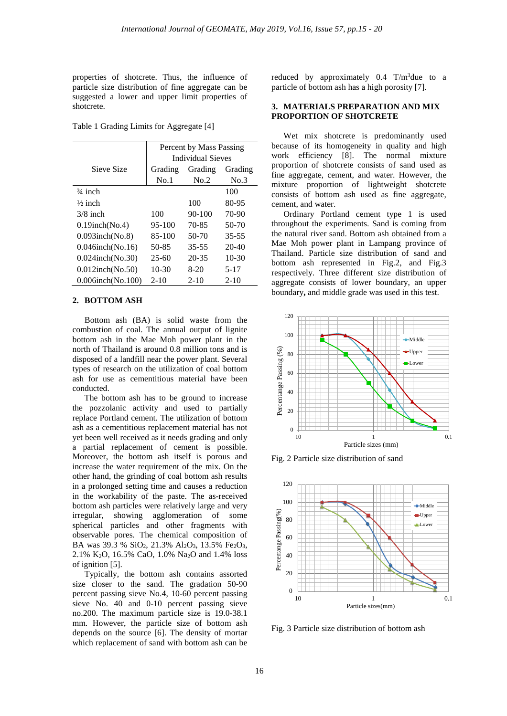properties of shotcrete. Thus, the influence of particle size distribution of fine aggregate can be suggested a lower and upper limit properties of shotcrete.

Table 1 Grading Limits for Aggregate [4]

|                     | Percent by Mass Passing<br><b>Individual Sieves</b> |           |           |
|---------------------|-----------------------------------------------------|-----------|-----------|
| Sieve Size          | Grading                                             | Grading   | Grading   |
|                     | No.1                                                | No.2      | No.3      |
| $\frac{3}{4}$ inch  |                                                     |           | 100       |
| $\frac{1}{2}$ inch  |                                                     | 100       | 80-95     |
| $3/8$ inch          | 100                                                 | $90-100$  | 70-90     |
| $0.19$ inch(No.4)   | 95-100                                              | 70-85     | 50-70     |
| $0.093$ inch(No.8)  | 85-100                                              | 50-70     | $35 - 55$ |
| $0.046$ inch(No.16) | 50-85                                               | $35 - 55$ | 20-40     |
| $0.024$ inch(No.30) | $25-60$                                             | $20 - 35$ | $10-30$   |
| $0.012$ inch(No.50) | $10-30$                                             | $8-20$    | $5 - 17$  |
| 0.006inch(No.100)   | $2 - 10$                                            | $2 - 10$  | $2 - 10$  |

#### **2. BOTTOM ASH**

Bottom ash (BA) is solid waste from the combustion of coal. The annual output of lignite bottom ash in the Mae Moh power plant in the north of Thailand is around 0.8 million tons and is disposed of a landfill near the power plant. Several types of research on the utilization of coal bottom ash for use as cementitious material have been conducted.

The bottom ash has to be ground to increase the pozzolanic activity and used to partially replace Portland cement. The utilization of bottom ash as a cementitious replacement material has not yet been well received as it needs grading and only a partial replacement of cement is possible. Moreover, the bottom ash itself is porous and increase the water requirement of the mix. On the other hand, the grinding of coal bottom ash results in a prolonged setting time and causes a reduction in the workability of the paste. The as-received bottom ash particles were relatively large and very irregular, showing agglomeration of some spherical particles and other fragments with observable pores. The chemical composition of BA was 39.3 % SiO<sub>2</sub>, 21.3% Al<sub>2</sub>O<sub>3</sub>, 13.5% Fe<sub>2</sub>O<sub>3</sub>, 2.1% K2O, 16.5% CaO, 1.0% Na2O and 1.4% loss of ignition [5].

Typically, the bottom ash contains assorted size closer to the sand. The gradation 50-90 percent passing sieve No.4, 10-60 percent passing sieve No. 40 and 0-10 percent passing sieve no.200. The maximum particle size is 19.0-38.1 mm. However, the particle size of bottom ash depends on the source [6]. The density of mortar which replacement of sand with bottom ash can be reduced by approximately  $0.4$  T/m<sup>3</sup>due to a particle of bottom ash has a high porosity [7].

### **3. MATERIALS PREPARATION AND MIX PROPORTION OF SHOTCRETE**

Wet mix shotcrete is predominantly used because of its homogeneity in quality and high work efficiency [8]. The normal mixture proportion of shotcrete consists of sand used as fine aggregate, cement, and water. However, the mixture proportion of lightweight shotcrete consists of bottom ash used as fine aggregate, cement, and water.

Ordinary Portland cement type 1 is used throughout the experiments. Sand is coming from the natural river sand. Bottom ash obtained from a Mae Moh power plant in Lampang province of Thailand. Particle size distribution of sand and bottom ash represented in Fig.2, and Fig.3 respectively. Three different size distribution of aggregate consists of lower boundary, an upper boundary**,** and middle grade was used in this test.



Fig. 2 Particle size distribution of sand



Fig. 3 Particle size distribution of bottom ash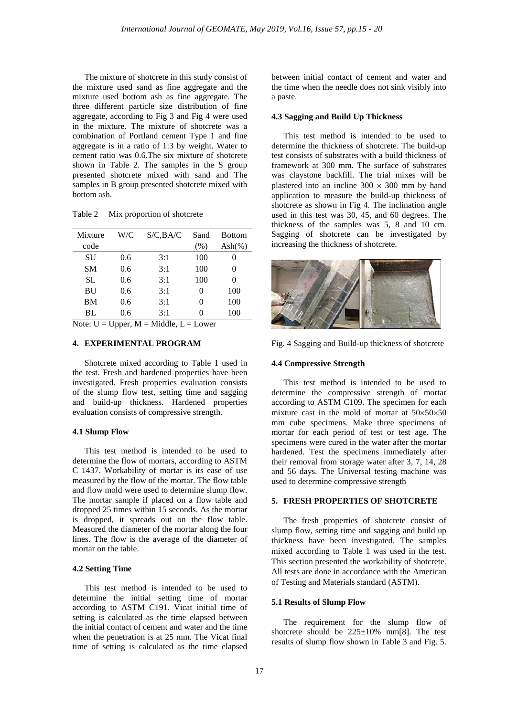The mixture of shotcrete in this study consist of the mixture used sand as fine aggregate and the mixture used bottom ash as fine aggregate. The three different particle size distribution of fine aggregate, according to Fig 3 and Fig 4 were used in the mixture. The mixture of shotcrete was a combination of Portland cement Type 1 and fine aggregate is in a ratio of 1:3 by weight. Water to cement ratio was 0.6.The six mixture of shotcrete shown in Table 2. The samples in the S group presented shotcrete mixed with sand and The samples in B group presented shotcrete mixed with bottom ash.

| Mixture   | W/C | S/C,BA/C | Sand | <b>Bottom</b> |
|-----------|-----|----------|------|---------------|
| code      |     |          | (% ) | Ash $(\%)$    |
| SU        | 0.6 | 3:1      | 100  |               |
| <b>SM</b> | 0.6 | 3:1      | 100  | 0             |
| SL.       | 0.6 | 3:1      | 100  |               |
| <b>BU</b> | 0.6 | 3:1      | 0    | 100           |
| <b>BM</b> | 0.6 | 3:1      |      | 100           |
| BL        | 0.6 | 3:1      |      | 100           |

Table 2 Mix proportion of shotcrete

Note:  $U = Upper, M = Middle, L = Lower$ 

# **4. EXPERIMENTAL PROGRAM**

Shotcrete mixed according to Table 1 used in the test. Fresh and hardened properties have been investigated. Fresh properties evaluation consists of the slump flow test, setting time and sagging and build-up thickness. Hardened properties evaluation consists of compressive strength.

### **4.1 Slump Flow**

This test method is intended to be used to determine the flow of mortars, according to ASTM C 1437. Workability of mortar is its ease of use measured by the flow of the mortar. The flow table and flow mold were used to determine slump flow. The mortar sample if placed on a flow table and dropped 25 times within 15 seconds. As the mortar is dropped, it spreads out on the flow table. Measured the diameter of the mortar along the four lines. The flow is the average of the diameter of mortar on the table.

### **4.2 Setting Time**

This test method is intended to be used to determine the initial setting time of mortar according to ASTM C191. Vicat initial time of setting is calculated as the time elapsed between the initial contact of cement and water and the time when the penetration is at 25 mm. The Vicat final time of setting is calculated as the time elapsed

between initial contact of cement and water and the time when the needle does not sink visibly into a paste.

#### **4.3 Sagging and Build Up Thickness**

This test method is intended to be used to determine the thickness of shotcrete. The build-up test consists of substrates with a build thickness of framework at 300 mm. The surface of substrates was claystone backfill. The trial mixes will be plastered into an incline  $300 \times 300$  mm by hand application to measure the build-up thickness of shotcrete as shown in Fig 4. The inclination angle used in this test was 30, 45, and 60 degrees. The thickness of the samples was 5, 8 and 10 cm. Sagging of shotcrete can be investigated by increasing the thickness of shotcrete.



Fig. 4 Sagging and Build-up thickness of shotcrete

#### **4.4 Compressive Strength**

This test method is intended to be used to determine the compressive strength of mortar according to ASTM C109. The specimen for each mixture cast in the mold of mortar at 50×50×50 mm cube specimens. Make three specimens of mortar for each period of test or test age. The specimens were cured in the water after the mortar hardened. Test the specimens immediately after their removal from storage water after 3, 7, 14, 28 and 56 days. The Universal testing machine was used to determine compressive strength

### **5. FRESH PROPERTIES OF SHOTCRETE**

The fresh properties of shotcrete consist of slump flow, setting time and sagging and build up thickness have been investigated. The samples mixed according to Table 1 was used in the test. This section presented the workability of shotcrete. All tests are done in accordance with the American of Testing and Materials standard (ASTM).

# **5.1 Results of Slump Flow**

The requirement for the slump flow of shotcrete should be  $225 \pm 10\%$  mm[8]. The test results of slump flow shown in Table 3 and Fig. 5.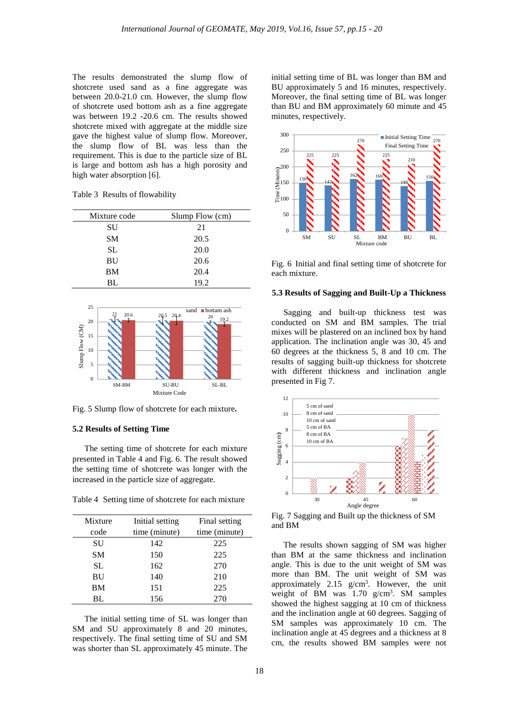The results demonstrated the slump flow of shotcrete used sand as a fine aggregate was between 20.0-21.0 cm. However, the slump flow of shotcrete used bottom ash as a fine aggregate was between 19.2 -20.6 cm. The results showed shotcrete mixed with aggregate at the middle size gave the highest value of slump flow. Moreover, the slump flow of BL was less than the requirement. This is due to the particle size of BL is large and bottom ash has a high porosity and high water absorption [6].

Table 3 Results of flowability

| Mixture code | Slump Flow (cm) |
|--------------|-----------------|
| SU           | 21              |
| <b>SM</b>    | 20.5            |
| <b>SL</b>    | 20.0            |
| BU           | 20.6            |
| BM           | 20.4            |
| BL           | 19.2            |



Fig. 5 Slump flow of shotcrete for each mixture**.**

#### **5.2 Results of Setting Time**

The setting time of shotcrete for each mixture presented in Table 4 and Fig. 6. The result showed the setting time of shotcrete was longer with the increased in the particle size of aggregate.

Table 4 Setting time of shotcrete for each mixture

| Mixture   | Initial setting | Final setting |
|-----------|-----------------|---------------|
| code      | time (minute)   | time (minute) |
| SU        | 142             | 225           |
| <b>SM</b> | 150             | 225           |
| SL.       | 162             | 270           |
| <b>BU</b> | 140             | 210           |
| <b>BM</b> | 151             | 225           |
| BL.       | 156             | 270           |

The initial setting time of SL was longer than SM and SU approximately 8 and 20 minutes, respectively. The final setting time of SU and SM was shorter than SL approximately 45 minute. The initial setting time of BL was longer than BM and BU approximately 5 and 16 minutes, respectively. Moreover, the final setting time of BL was longer than BU and BM approximately 60 minute and 45 minutes, respectively.



Fig. 6 Initial and final setting time of shotcrete for each mixture.

#### **5.3 Results of Sagging and Built-Up a Thickness**

Sagging and built-up thickness test was conducted on SM and BM samples. The trial mixes will be plastered on an inclined box by hand application. The inclination angle was 30, 45 and 60 degrees at the thickness 5, 8 and 10 cm. The results of sagging built-up thickness for shotcrete with different thickness and inclination angle presented in Fig 7.



Fig. 7 Sagging and Built up the thickness of SM and BM

The results shown sagging of SM was higher than BM at the same thickness and inclination angle. This is due to the unit weight of SM was more than BM. The unit weight of SM was approximately  $2.15$  g/cm<sup>3</sup>. However, the unit weight of BM was 1.70 g/cm<sup>3</sup>. SM samples showed the highest sagging at 10 cm of thickness and the inclination angle at 60 degrees. Sagging of SM samples was approximately 10 cm. The inclination angle at 45 degrees and a thickness at 8 cm, the results showed BM samples were not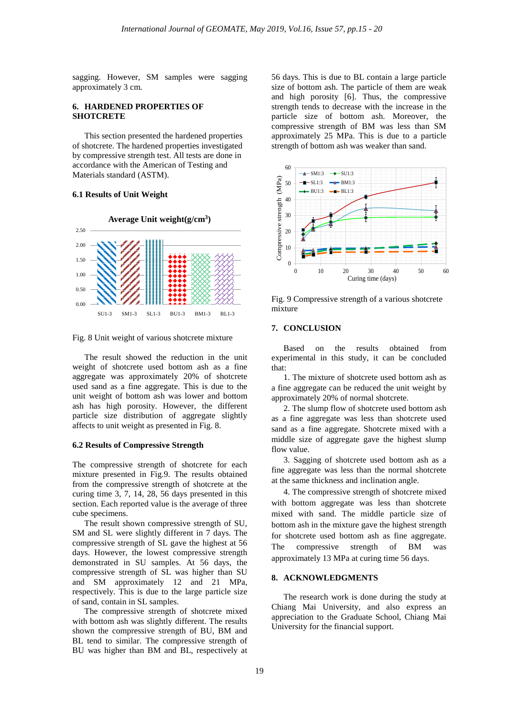sagging. However, SM samples were sagging approximately 3 cm.

# **6. HARDENED PROPERTIES OF SHOTCRETE**

This section presented the hardened properties of shotcrete. The hardened properties investigated by compressive strength test. All tests are done in accordance with the American of Testing and Materials standard (ASTM).

### **6.1 Results of Unit Weight**



Fig. 8 Unit weight of various shotcrete mixture

The result showed the reduction in the unit weight of shotcrete used bottom ash as a fine aggregate was approximately 20% of shotcrete used sand as a fine aggregate. This is due to the unit weight of bottom ash was lower and bottom ash has high porosity. However, the different particle size distribution of aggregate slightly affects to unit weight as presented in Fig. 8.

### **6.2 Results of Compressive Strength**

The compressive strength of shotcrete for each mixture presented in Fig.9. The results obtained from the compressive strength of shotcrete at the curing time 3, 7, 14, 28, 56 days presented in this section. Each reported value is the average of three cube specimens.

The result shown compressive strength of SU, SM and SL were slightly different in 7 days. The compressive strength of SL gave the highest at 56 days. However, the lowest compressive strength demonstrated in SU samples. At 56 days, the compressive strength of SL was higher than SU and SM approximately 12 and 21 MPa, respectively. This is due to the large particle size of sand, contain in SL samples.

The compressive strength of shotcrete mixed with bottom ash was slightly different. The results shown the compressive strength of BU, BM and BL tend to similar. The compressive strength of BU was higher than BM and BL, respectively at

56 days. This is due to BL contain a large particle size of bottom ash. The particle of them are weak and high porosity [6]. Thus, the compressive strength tends to decrease with the increase in the particle size of bottom ash. Moreover, the compressive strength of BM was less than SM approximately 25 MPa. This is due to a particle strength of bottom ash was weaker than sand.



Fig. 9 Compressive strength of a various shotcrete mixture

# **7. CONCLUSION**

Based on the results obtained from experimental in this study, it can be concluded that:

1. The mixture of shotcrete used bottom ash as a fine aggregate can be reduced the unit weight by approximately 20% of normal shotcrete.

2. The slump flow of shotcrete used bottom ash as a fine aggregate was less than shotcrete used sand as a fine aggregate. Shotcrete mixed with a middle size of aggregate gave the highest slump flow value.

3. Sagging of shotcrete used bottom ash as a fine aggregate was less than the normal shotcrete at the same thickness and inclination angle.

4. The compressive strength of shotcrete mixed with bottom aggregate was less than shotcrete mixed with sand. The middle particle size of bottom ash in the mixture gave the highest strength for shotcrete used bottom ash as fine aggregate. The compressive strength of BM was approximately 13 MPa at curing time 56 days.

## **8. ACKNOWLEDGMENTS**

The research work is done during the study at Chiang Mai University, and also express an appreciation to the Graduate School, Chiang Mai University for the financial support.